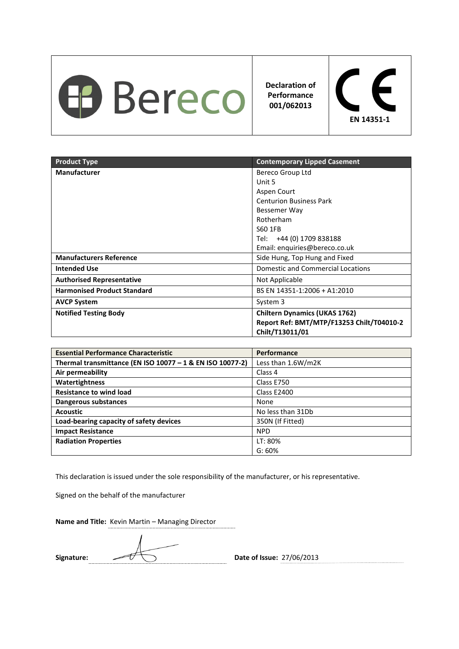

**Declaration of Performance 001/062013** 



| <b>Product Type</b>                | <b>Contemporary Lipped Casement</b>       |
|------------------------------------|-------------------------------------------|
| <b>Manufacturer</b>                | Bereco Group Ltd                          |
|                                    | Unit 5                                    |
|                                    | Aspen Court                               |
|                                    | <b>Centurion Business Park</b>            |
|                                    | Bessemer Way                              |
|                                    | Rotherham                                 |
|                                    | S60 1FB                                   |
|                                    | Tel: +44 (0) 1709 838188                  |
|                                    | Email: enquiries@bereco.co.uk             |
| <b>Manufacturers Reference</b>     | Side Hung, Top Hung and Fixed             |
| <b>Intended Use</b>                | <b>Domestic and Commercial Locations</b>  |
| <b>Authorised Representative</b>   | Not Applicable                            |
| <b>Harmonised Product Standard</b> | BS EN 14351-1:2006 + A1:2010              |
| <b>AVCP System</b>                 | System 3                                  |
| <b>Notified Testing Body</b>       | <b>Chiltern Dynamics (UKAS 1762)</b>      |
|                                    | Report Ref: BMT/MTP/F13253 Chilt/T04010-2 |
|                                    | Chilt/T13011/01                           |

| <b>Essential Performance Characteristic</b>               | Performance        |
|-----------------------------------------------------------|--------------------|
| Thermal transmittance (EN ISO 10077 - 1 & EN ISO 10077-2) | Less than 1.6W/m2K |
| Air permeability                                          | Class 4            |
| Watertightness                                            | Class E750         |
| <b>Resistance to wind load</b>                            | Class E2400        |
| Dangerous substances                                      | None               |
| <b>Acoustic</b>                                           | No less than 31Db  |
| Load-bearing capacity of safety devices                   | 350N (If Fitted)   |
| <b>Impact Resistance</b>                                  | <b>NPD</b>         |
| <b>Radiation Properties</b>                               | LT: 80%            |
|                                                           | G: 60%             |

This declaration is issued under the sole responsibility of the manufacturer, or his representative.

Signed on the behalf of the manufacturer

Signature:  $\sqrt{U}$  Date of Issue: 27/06/2013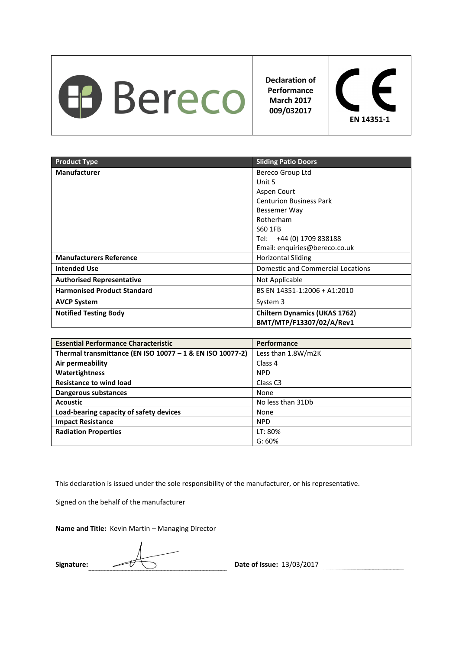

**Declaration of Performance March 2017 009/032017** 



| <b>Product Type</b>                | <b>Sliding Patio Doors</b>           |
|------------------------------------|--------------------------------------|
| <b>Manufacturer</b>                | Bereco Group Ltd                     |
|                                    | Unit 5                               |
|                                    | Aspen Court                          |
|                                    | <b>Centurion Business Park</b>       |
|                                    | Bessemer Way                         |
|                                    | Rotherham                            |
|                                    | S60 1FB                              |
|                                    | Tel: +44 (0) 1709 838188             |
|                                    | Email: enquiries@bereco.co.uk        |
| <b>Manufacturers Reference</b>     | <b>Horizontal Sliding</b>            |
| <b>Intended Use</b>                | Domestic and Commercial Locations    |
| <b>Authorised Representative</b>   | Not Applicable                       |
| <b>Harmonised Product Standard</b> | BS EN 14351-1:2006 + A1:2010         |
| <b>AVCP System</b>                 | System 3                             |
| <b>Notified Testing Body</b>       | <b>Chiltern Dynamics (UKAS 1762)</b> |
|                                    | BMT/MTP/F13307/02/A/Rev1             |

| <b>Essential Performance Characteristic</b>               | <b>Performance</b>  |
|-----------------------------------------------------------|---------------------|
| Thermal transmittance (EN ISO 10077 - 1 & EN ISO 10077-2) | Less than 1.8W/m2K  |
| Air permeability                                          | Class 4             |
| Watertightness                                            | <b>NPD</b>          |
| <b>Resistance to wind load</b>                            | Class <sub>C3</sub> |
| Dangerous substances                                      | None                |
| <b>Acoustic</b>                                           | No less than 31Db   |
| Load-bearing capacity of safety devices                   | None                |
| <b>Impact Resistance</b>                                  | <b>NPD</b>          |
| <b>Radiation Properties</b>                               | LT: 80%             |
|                                                           | G: 60%              |

This declaration is issued under the sole responsibility of the manufacturer, or his representative.

Signed on the behalf of the manufacturer

Signature:  $\sqrt{U(1)}$  Date of Issue: 13/03/2017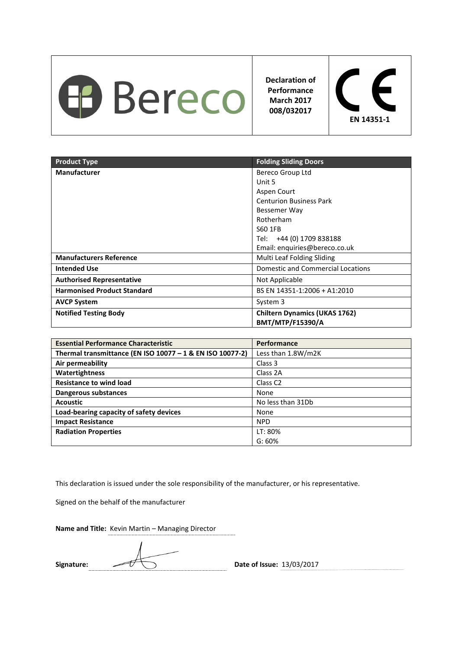

**Declaration of Performance March 2017 008/032017** 



| <b>Product Type</b>                | <b>Folding Sliding Doors</b>         |
|------------------------------------|--------------------------------------|
| <b>Manufacturer</b>                | Bereco Group Ltd                     |
|                                    | Unit 5                               |
|                                    | Aspen Court                          |
|                                    | <b>Centurion Business Park</b>       |
|                                    | Bessemer Way                         |
|                                    | Rotherham                            |
|                                    | S60 1FB                              |
|                                    | Tel: +44 (0) 1709 838188             |
|                                    | Email: enquiries@bereco.co.uk        |
| <b>Manufacturers Reference</b>     | Multi Leaf Folding Sliding           |
| <b>Intended Use</b>                | Domestic and Commercial Locations    |
| <b>Authorised Representative</b>   | Not Applicable                       |
| <b>Harmonised Product Standard</b> | BS EN 14351-1:2006 + A1:2010         |
| <b>AVCP System</b>                 | System 3                             |
| <b>Notified Testing Body</b>       | <b>Chiltern Dynamics (UKAS 1762)</b> |
|                                    | <b>BMT/MTP/F15390/A</b>              |

| <b>Essential Performance Characteristic</b>               | <b>Performance</b>  |
|-----------------------------------------------------------|---------------------|
| Thermal transmittance (EN ISO 10077 - 1 & EN ISO 10077-2) | Less than 1.8W/m2K  |
| Air permeability                                          | Class 3             |
| Watertightness                                            | Class 2A            |
| <b>Resistance to wind load</b>                            | Class <sub>C2</sub> |
| Dangerous substances                                      | None                |
| <b>Acoustic</b>                                           | No less than 31Db   |
| Load-bearing capacity of safety devices                   | None                |
| <b>Impact Resistance</b>                                  | <b>NPD</b>          |
| <b>Radiation Properties</b>                               | LT: 80%             |
|                                                           | G: 60%              |

This declaration is issued under the sole responsibility of the manufacturer, or his representative.

Signed on the behalf of the manufacturer

Signature:  $\sqrt{U(1)}$  Date of Issue: 13/03/2017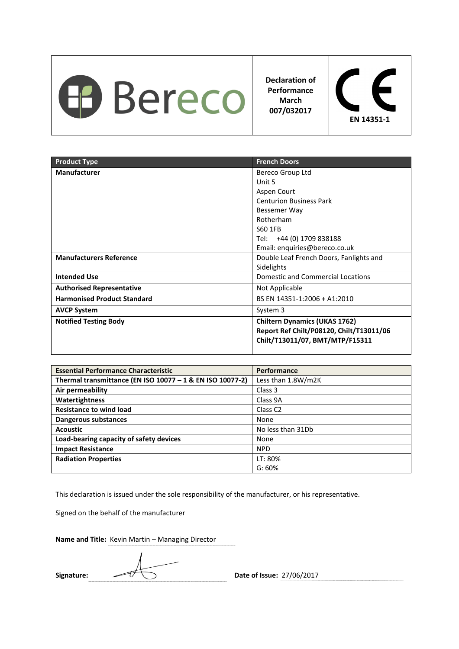

**Declaration of Performance March 007/032017** 



| <b>Product Type</b>                | <b>French Doors</b>                                                                                                 |
|------------------------------------|---------------------------------------------------------------------------------------------------------------------|
| Manufacturer                       | Bereco Group Ltd                                                                                                    |
|                                    | Unit 5                                                                                                              |
|                                    | Aspen Court                                                                                                         |
|                                    | <b>Centurion Business Park</b>                                                                                      |
|                                    | Bessemer Way                                                                                                        |
|                                    | Rotherham                                                                                                           |
|                                    | S60 1FB                                                                                                             |
|                                    | Tel: +44 (0) 1709 838188                                                                                            |
|                                    | Email: enquiries@bereco.co.uk                                                                                       |
| <b>Manufacturers Reference</b>     | Double Leaf French Doors, Fanlights and                                                                             |
|                                    | Sidelights                                                                                                          |
| <b>Intended Use</b>                | Domestic and Commercial Locations                                                                                   |
| <b>Authorised Representative</b>   | Not Applicable                                                                                                      |
| <b>Harmonised Product Standard</b> | BS EN 14351-1:2006 + A1:2010                                                                                        |
| <b>AVCP System</b>                 | System 3                                                                                                            |
| <b>Notified Testing Body</b>       | <b>Chiltern Dynamics (UKAS 1762)</b><br>Report Ref Chilt/P08120, Chilt/T13011/06<br>Chilt/T13011/07, BMT/MTP/F15311 |

| <b>Essential Performance Characteristic</b>               | Performance         |
|-----------------------------------------------------------|---------------------|
| Thermal transmittance (EN ISO 10077 - 1 & EN ISO 10077-2) | Less than 1.8W/m2K  |
| Air permeability                                          | Class 3             |
| Watertightness                                            | Class 9A            |
| <b>Resistance to wind load</b>                            | Class <sub>C2</sub> |
| Dangerous substances                                      | None                |
| <b>Acoustic</b>                                           | No less than 31Db   |
| Load-bearing capacity of safety devices                   | None                |
| <b>Impact Resistance</b>                                  | <b>NPD</b>          |
| <b>Radiation Properties</b>                               | LT: 80%             |
|                                                           | G: 60%              |

This declaration is issued under the sole responsibility of the manufacturer, or his representative.

Signed on the behalf of the manufacturer

Signature:  $\sqrt{7}$  Date of Issue: 27/06/2017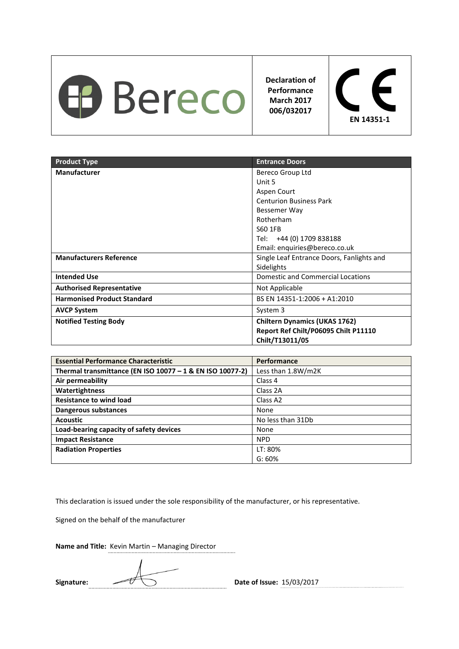

**Declaration of Performance March 2017 006/032017** 



| <b>Product Type</b>                | <b>Entrance Doors</b>                                                                           |
|------------------------------------|-------------------------------------------------------------------------------------------------|
| <b>Manufacturer</b>                | Bereco Group Ltd                                                                                |
|                                    | Unit 5                                                                                          |
|                                    | Aspen Court                                                                                     |
|                                    | <b>Centurion Business Park</b>                                                                  |
|                                    | Bessemer Way                                                                                    |
|                                    | Rotherham                                                                                       |
|                                    | S60 1FB                                                                                         |
|                                    | Tel: +44 (0) 1709 838188                                                                        |
|                                    | Email: enquiries@bereco.co.uk                                                                   |
| <b>Manufacturers Reference</b>     | Single Leaf Entrance Doors, Fanlights and                                                       |
|                                    | Sidelights                                                                                      |
| <b>Intended Use</b>                | Domestic and Commercial Locations                                                               |
| <b>Authorised Representative</b>   | Not Applicable                                                                                  |
| <b>Harmonised Product Standard</b> | BS EN 14351-1:2006 + A1:2010                                                                    |
| <b>AVCP System</b>                 | System 3                                                                                        |
| <b>Notified Testing Body</b>       | <b>Chiltern Dynamics (UKAS 1762)</b><br>Report Ref Chilt/P06095 Chilt P11110<br>Chilt/T13011/05 |

| <b>Essential Performance Characteristic</b>               | Performance          |
|-----------------------------------------------------------|----------------------|
| Thermal transmittance (EN ISO 10077 - 1 & EN ISO 10077-2) | Less than 1.8W/m2K   |
| Air permeability                                          | Class 4              |
| Watertightness                                            | Class 2A             |
| <b>Resistance to wind load</b>                            | Class A <sub>2</sub> |
| Dangerous substances                                      | None                 |
| <b>Acoustic</b>                                           | No less than 31Db    |
| Load-bearing capacity of safety devices                   | None                 |
| <b>Impact Resistance</b>                                  | <b>NPD</b>           |
| <b>Radiation Properties</b>                               | LT: 80%              |
|                                                           | G: 60%               |

This declaration is issued under the sole responsibility of the manufacturer, or his representative.

Signed on the behalf of the manufacturer

**Name and Title:** Kevin Martin – Managing Director

Signature:  $\sqrt{7}$  Date of Issue: 15/03/2017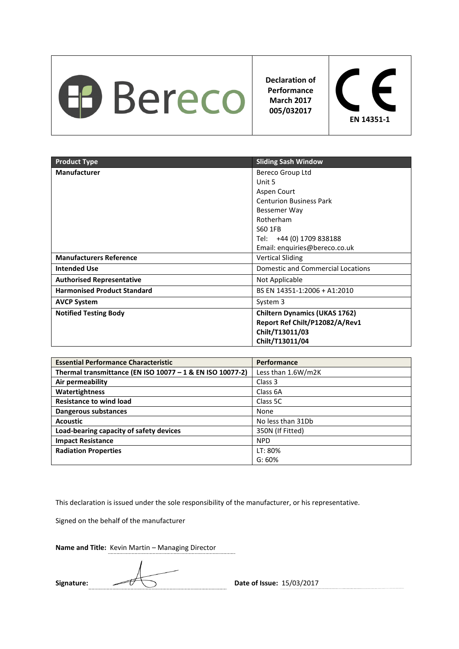

**Declaration of Performance March 2017 005/032017** 



| <b>Product Type</b>                | <b>Sliding Sash Window</b>           |
|------------------------------------|--------------------------------------|
| <b>Manufacturer</b>                | Bereco Group Ltd                     |
|                                    | Unit 5                               |
|                                    | Aspen Court                          |
|                                    | <b>Centurion Business Park</b>       |
|                                    | Bessemer Way                         |
|                                    | Rotherham                            |
|                                    | S60 1FB                              |
|                                    | Tel: +44 (0) 1709 838188             |
|                                    | Email: enquiries@bereco.co.uk        |
| <b>Manufacturers Reference</b>     | <b>Vertical Sliding</b>              |
| <b>Intended Use</b>                | Domestic and Commercial Locations    |
| <b>Authorised Representative</b>   | Not Applicable                       |
| <b>Harmonised Product Standard</b> | BS EN 14351-1:2006 + A1:2010         |
| <b>AVCP System</b>                 | System 3                             |
| <b>Notified Testing Body</b>       | <b>Chiltern Dynamics (UKAS 1762)</b> |
|                                    | Report Ref Chilt/P12082/A/Rev1       |
|                                    | Chilt/T13011/03                      |
|                                    | Chilt/T13011/04                      |

| <b>Essential Performance Characteristic</b>               | Performance        |
|-----------------------------------------------------------|--------------------|
| Thermal transmittance (EN ISO 10077 - 1 & EN ISO 10077-2) | Less than 1.6W/m2K |
| Air permeability                                          | Class 3            |
| Watertightness                                            | Class 6A           |
| <b>Resistance to wind load</b>                            | Class 5C           |
| Dangerous substances                                      | None               |
| <b>Acoustic</b>                                           | No less than 31Db  |
| Load-bearing capacity of safety devices                   | 350N (If Fitted)   |
| <b>Impact Resistance</b>                                  | <b>NPD</b>         |
| <b>Radiation Properties</b>                               | LT: 80%            |
|                                                           | G: 60%             |

This declaration is issued under the sole responsibility of the manufacturer, or his representative.

Signed on the behalf of the manufacturer

**Name and Title:** Kevin Martin – Managing Director

Signature:  $\sqrt{7}$  Date of Issue: 15/03/2017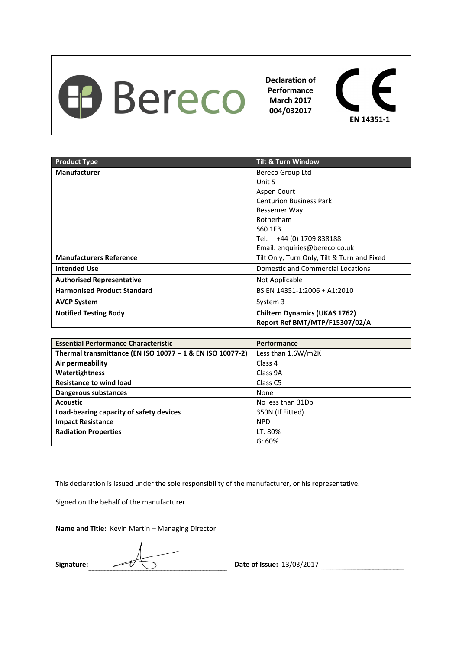

**Declaration of Performance March 2017 004/032017** 



| <b>Product Type</b>                | <b>Tilt &amp; Turn Window</b>               |
|------------------------------------|---------------------------------------------|
| <b>Manufacturer</b>                | Bereco Group Ltd                            |
|                                    | Unit 5                                      |
|                                    | Aspen Court                                 |
|                                    | <b>Centurion Business Park</b>              |
|                                    | Bessemer Way                                |
|                                    | Rotherham                                   |
|                                    | S60 1FB                                     |
|                                    | Tel: +44 (0) 1709 838188                    |
|                                    | Email: enquiries@bereco.co.uk               |
| <b>Manufacturers Reference</b>     | Tilt Only, Turn Only, Tilt & Turn and Fixed |
| <b>Intended Use</b>                | Domestic and Commercial Locations           |
| <b>Authorised Representative</b>   | Not Applicable                              |
| <b>Harmonised Product Standard</b> | BS EN 14351-1:2006 + A1:2010                |
| <b>AVCP System</b>                 | System 3                                    |
| <b>Notified Testing Body</b>       | <b>Chiltern Dynamics (UKAS 1762)</b>        |
|                                    | Report Ref BMT/MTP/F15307/02/A              |

| <b>Essential Performance Characteristic</b>               | Performance         |
|-----------------------------------------------------------|---------------------|
| Thermal transmittance (EN ISO 10077 - 1 & EN ISO 10077-2) | Less than 1.6W/m2K  |
| Air permeability                                          | Class 4             |
| Watertightness                                            | Class 9A            |
| <b>Resistance to wind load</b>                            | Class <sub>C5</sub> |
| Dangerous substances                                      | None                |
| <b>Acoustic</b>                                           | No less than 31Db   |
| Load-bearing capacity of safety devices                   | 350N (If Fitted)    |
| <b>Impact Resistance</b>                                  | <b>NPD</b>          |
| <b>Radiation Properties</b>                               | LT: 80%             |
|                                                           | G: 60%              |

This declaration is issued under the sole responsibility of the manufacturer, or his representative.

Signed on the behalf of the manufacturer

Signature:  $\sqrt{U(1)}$  Date of Issue: 13/03/2017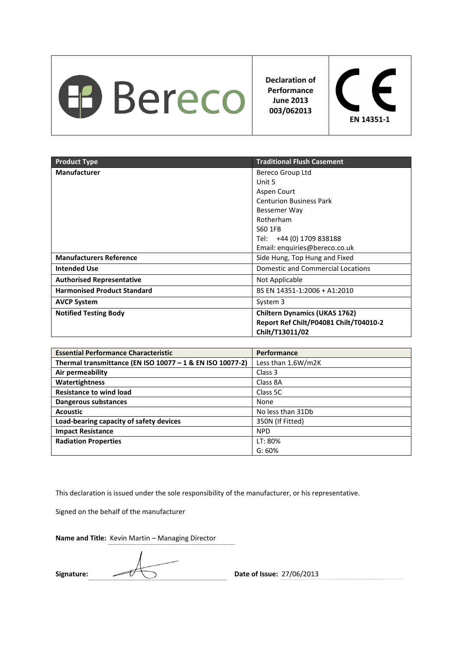

**Declaration of Performance June 2013 003/062013** 



| <b>Product Type</b>                | <b>Traditional Flush Casement</b>                                                                 |
|------------------------------------|---------------------------------------------------------------------------------------------------|
| <b>Manufacturer</b>                | Bereco Group Ltd                                                                                  |
|                                    | Unit 5                                                                                            |
|                                    | Aspen Court                                                                                       |
|                                    | <b>Centurion Business Park</b>                                                                    |
|                                    | Bessemer Way                                                                                      |
|                                    | Rotherham                                                                                         |
|                                    | S60 1FB                                                                                           |
|                                    | Tel: +44 (0) 1709 838188                                                                          |
|                                    | Email: enquiries@bereco.co.uk                                                                     |
| <b>Manufacturers Reference</b>     | Side Hung, Top Hung and Fixed                                                                     |
| <b>Intended Use</b>                | Domestic and Commercial Locations                                                                 |
| <b>Authorised Representative</b>   | Not Applicable                                                                                    |
| <b>Harmonised Product Standard</b> | BS EN 14351-1:2006 + A1:2010                                                                      |
| <b>AVCP System</b>                 | System 3                                                                                          |
| <b>Notified Testing Body</b>       | <b>Chiltern Dynamics (UKAS 1762)</b><br>Report Ref Chilt/P04081 Chilt/T04010-2<br>Chilt/T13011/02 |

| <b>Essential Performance Characteristic</b>               | Performance        |
|-----------------------------------------------------------|--------------------|
| Thermal transmittance (EN ISO 10077 - 1 & EN ISO 10077-2) | Less than 1.6W/m2K |
| Air permeability                                          | Class 3            |
| Watertightness                                            | Class 8A           |
| <b>Resistance to wind load</b>                            | Class 5C           |
| Dangerous substances                                      | None               |
| <b>Acoustic</b>                                           | No less than 31Db  |
| Load-bearing capacity of safety devices                   | 350N (If Fitted)   |
| <b>Impact Resistance</b>                                  | <b>NPD</b>         |
| <b>Radiation Properties</b>                               | LT: 80%            |
|                                                           | G: 60%             |

This declaration is issued under the sole responsibility of the manufacturer, or his representative.

Signed on the behalf of the manufacturer

Signature:  $\sqrt{U}$  Date of Issue: 27/06/2013